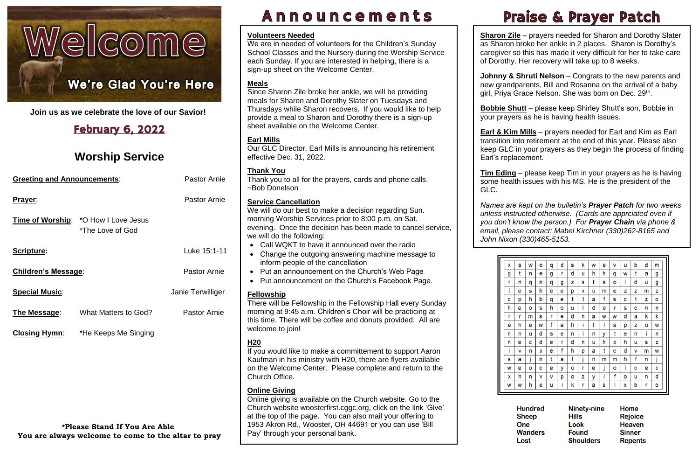# Welcome

## **We're Glad You're Here**

I **Join us as we celebrate the love of our Savior!**

## February 6, 2022

## **Worship Service**

| <b>Pastor Arnie</b><br><b>Greeting and Announcements:</b> |                                                                                             |                     |                                                                         |  |  |
|-----------------------------------------------------------|---------------------------------------------------------------------------------------------|---------------------|-------------------------------------------------------------------------|--|--|
| Prayer:                                                   |                                                                                             | <b>Pastor Arnie</b> | $rac{S}{V}$                                                             |  |  |
|                                                           | Time of Worship: * O How I Love Jesus<br>*The Love of God                                   |                     | n<br>$\mathbf e$<br>W                                                   |  |  |
| Scripture:                                                |                                                                                             | Luke 15:1-11        |                                                                         |  |  |
| <b>Children's Message:</b>                                |                                                                                             | <b>Pastor Arnie</b> |                                                                         |  |  |
| <b>Special Music:</b>                                     |                                                                                             | Janie Terwilliger   | $rac{F}{T}$                                                             |  |  |
| The Message:                                              | What Matters to God?                                                                        | <b>Pastor Arnie</b> | n<br>tł                                                                 |  |  |
|                                                           | <b>Closing Hymn:</b> *He Keeps Me Singing                                                   |                     | W<br>$\overline{r}$<br>lf<br>K<br>C                                     |  |  |
|                                                           | <b>*Please Stand If You Are Able</b><br>You are always welcome to come to the altar to pray |                     | $\underline{\underline{\mathsf{C}}}$<br>$\mathsf C$<br>C<br>a<br>1<br>F |  |  |

## Announcements

**Johnny & Shruti Nelson** – Congrats to the new parents and new grandparents, Bill and Rosanna on the arrival of a baby girl, Priya Grace Nelson. She was born on Dec. 29<sup>th</sup>.

**<u>Bobble Snutt</u>** – please keep Snirley Snutt<br>your prayers as he is having health issues. **Bobbie Shutt** – please keep Shirley Shutt's son, Bobbie in

| S | W | о | q | d | S | k | W | е | V | u | b | d | m |
|---|---|---|---|---|---|---|---|---|---|---|---|---|---|
| t | n | е | g | r | d | u | h | h | q | W | t | а | g |
| n | q | n | q | g | z | s | t | S | ٥ | I | d | u | g |
| е | S | h | е | е | р | x | u | m | е | z | z | m | z |
| р | h | b | q | е | t | t | а | f | s | C | t | z | о |
| е | О | s | h | о | u | ı | d | е | r | S | C | n | n |
| r | m | S | r | е | d | n | а | W | W | d | а | k | k |
| h | е | W | f | а | h | i | ı | ı | s | р | z | ٥ | W |
| n | u | d | S | е | n | i | n | у | t | е | n | i | n |
| е | c | d | е | r | d | n | u | h | X | h | u | s | z |
| V | n | x | е | f | h | р | а | t | c | d | ۷ | m | W |
| а | j | n | t | а | I | j | n | m | m | h | f | n | j |
| е | ٥ | C | е | У | ٥ | r | е | j | о | i | C | е | C |
| h | n | ۷ | v | р | ٥ | z | у | i | f | ٥ | u | n | d |
| W | h | е | u | i | k | r | а | s | I | x | b | r | о |
|   |   |   |   |   |   |   |   |   |   |   |   |   |   |

**Hundred Sheep One Wanders** Lost

٦ **Ninety-nine Hills** Look<br>Found **Shoulders** 

Home **Rejoice Heaven Sinner Repents** 

**Sharon Zile** – prayers needed for Sharon and Dorothy Slater as Sharon broke her ankle in 2 places. Sharon is Dorothy's caregiver so this has made it very difficult for her to take care of Dorothy. Her recovery will take up to 8 weeks.

 **Earl & Kim Mills** – prayers needed for Earl and Kim as Earl transition into retirement at the end of this year. Please also keep GLC in your prayers as they begin the process of finding Earl's replacement.

 *Names are kept on the bulletin's Prayer Patch for two weeks unless instructed otherwise. (Cards are apprciated even if*   *email, please contact: Mabel Kirchner (330)262-8165 and you don't know the person.) For Prayer Chain via phone & John Nixon (330)465-5153.*



## **Praise & Prayer Patch**

Thank you to all for the prayers, cards and phone calls. ~Bob Donelson

**Tim Eding** – please keep Tim in your prayers as he is having some health issues with his MS. He is the president of the

GLC.

If you would like to make a committement to support Aaron Kaufman in his ministry with H20, there are flyers available on the Welcome Center. Please complete and return to the Church Office.

Online giving is available on the Church website. Go to the Church website [woosterfirst.cggc.org,](http://woosterfirst.cggc.org/) click on the link 'Give' at the top of the page. You can also mail your offering to 1953 Akron Rd., Wooster, OH 44691 or you can use 'Bill Pay' through your personal bank.

### **Volunteers Needed**

 this time. There will be coffee and donuts provided. All are There will be Fellowship in the Fellowship Hall every Sunday morning at 9:45 a.m. Children's Choir will be practicing at welcome to join!

We are in needed of volunteers for the Children's Sunday School Classes and the Nursery during the Worship Service each Sunday. If you are interested in helping, there is a sign-up sheet on the Welcome Center.

## **Meals**

Since Sharon Zile broke her ankle, we will be providing meals for Sharon and Dorothy Slater on Tuesdays and Thursdays while Sharon recovers. If you would like to help provide a meal to Sharon and Dorothy there is a sign-up sheet available on the Welcome Center.

## **Earl Mills**

Our GLC Director, Earl Mills is announcing his retirement effective Dec. 31, 2022.

## **Thank You**

## **Service Cancellation**

We will do our best to make a decision regarding Sun. morning Worship Services prior to 8:00 p.m. on Sat. evening. Once the decision has been made to cancel service, we will do the following:

- Call WQKT to have it announced over the radio
- Change the outgoing answering machine message to inform people of the cancellation
- Put an announcement on the Church's Web Page
- Put announcement on the Church's Facebook Page.

## **Fellowship**

## **H20**

## **Online Giving**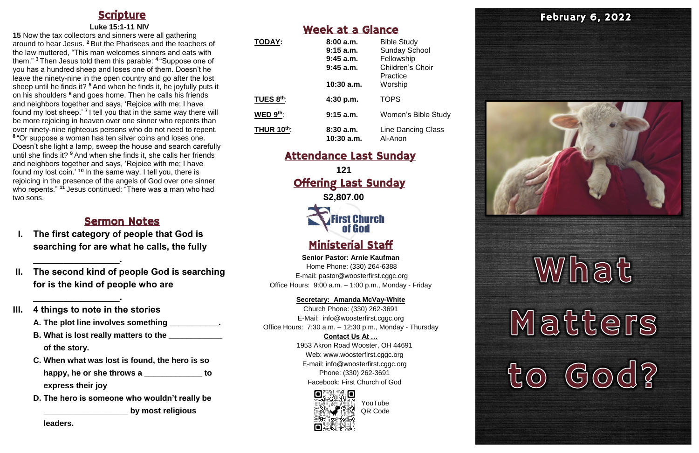## **Scripture**

### **Luke 15:1-11 NIV**

**15** Now the tax collectors and sinners were all gathering around to hear Jesus. **<sup>2</sup>** But the Pharisees and the teachers of the law muttered, "This man welcomes sinners and eats with them." **<sup>3</sup>** Then Jesus told them this parable: **<sup>4</sup>** "Suppose one of you has a hundred sheep and loses one of them. Doesn't he leave the ninety-nine in the open country and go after the lost sheep until he finds it? **<sup>5</sup>** And when he finds it, he joyfully puts it on his shoulders **<sup>6</sup>** and goes home. Then he calls his friends and neighbors together and says, 'Rejoice with me; I have found my lost sheep.<sup>'</sup> I tell you that in the same way there will be more rejoicing in heaven over one sinner who repents than over ninety-nine righteous persons who do not need to repent. **8** "Or suppose a woman has ten silver coins and loses one. Doesn't she light a lamp, sweep the house and search carefully until she finds it? **<sup>9</sup>** And when she finds it, she calls her friends and neighbors together and says, 'Rejoice with me; I have found my lost coin.' **<sup>10</sup>** In the same way, I tell you, there is rejoicing in the presence of the angels of God over one sinner who repents."<sup>11</sup> Jesus continued: "There was a man who had two sons.

**121** Offering Last Sunday **\$2,807.00 First Church** of God

## Sermon Notes

- **I. The first category of people that God is searching for are what he calls, the fully**
- **II. The second kind of people God is searching for is the kind of people who are**

**\_\_\_\_\_\_\_\_\_\_\_\_\_\_\_\_\_.**

**\_\_\_\_\_\_\_\_\_\_\_\_\_\_\_\_\_.**

## **III. 4 things to note in the stories**

- **A. The plot line involves something \_\_\_\_\_\_\_\_\_\_\_.**
- **B. What is lost really matters to the \_\_\_\_\_\_\_\_\_\_\_\_ of the story.**
- **C. When what was lost is found, the hero is so**  happy, he or she throws a \_\_\_\_\_\_\_\_\_\_\_\_\_ to **express their joy**
- **D. The hero is someone who wouldn't really be \_\_\_\_\_\_\_\_\_\_\_\_\_\_\_\_\_\_\_ by most religious**

**leaders.** 

## Week at a Glance

| <b>TODAY:</b>     | 8:00a.m.<br>$9:15$ a.m.<br>$9:45$ a.m.<br>$9:45$ a.m.<br>$10:30$ a.m. | <b>Bible Study</b><br><b>Sunday School</b><br>Fellowship<br>Children's Choir<br>Practice<br>Worship |
|-------------------|-----------------------------------------------------------------------|-----------------------------------------------------------------------------------------------------|
| TUES 8th:         | 4:30 p.m.                                                             | <b>TOPS</b>                                                                                         |
| WED $9^{th}$ :    | $9:15$ a.m.                                                           | <b>Women's Bible Study</b>                                                                          |
| <b>THUR 10th:</b> | 8:30a.m.<br>10:30 a.m.                                                | Line Dancing Class<br>Al-Anon                                                                       |

## Attendance Last Sunday

## Ministerial Staff

**Senior Pastor: Arnie Kaufman** Home Phone: (330) 264-6388 E-mail: [pastor@woosterfirst.cggc.org](mailto:pastor@woosterfirst.cggc.org) Office Hours: 9:00 a.m. – 1:00 p.m., Monday - Friday

### **Secretary: Amanda McVay-White**

Church Phone: (330) 262-3691 E-Mail: info@woosterfirst.cggc.org Office Hours: 7:30 a.m. – 12:30 p.m., Monday - Thursday **Contact Us At …**

1953 Akron Road Wooster, OH 44691 Web: [www.woosterfirst.cggc.org](http://www.woosterfirst.cggc.org/) E-mail: info@woosterfirst.cggc.org Phone: (330) 262-3691 Facebook: First Church of God





# What Matters  $O(d)$  $\bigodot$

YouTube QR Code